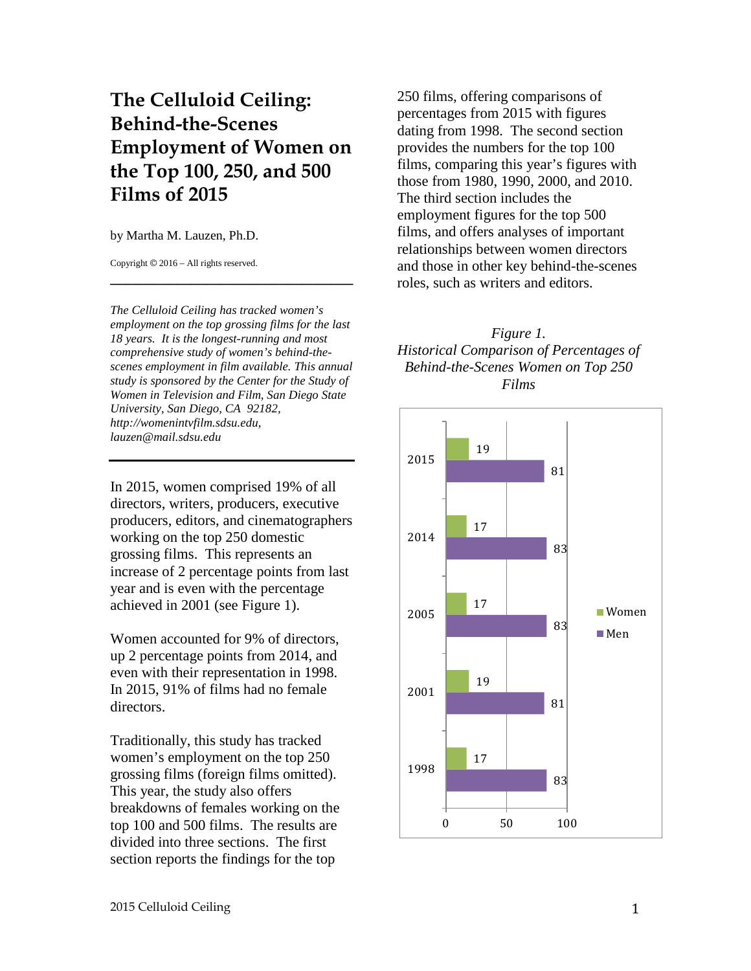# **The Celluloid Ceiling: Behind-the-Scenes Employment of Women on the Top 100, 250, and 500 Films of 2015**

by Martha M. Lauzen, Ph.D.

Copyright © 2016 – All rights reserved.

*The Celluloid Ceiling has tracked women's employment on the top grossing films for the last 18 years. It is the longest-running and most comprehensive study of women's behind-thescenes employment in film available. This annual study is sponsored by the Center for the Study of Women in Television and Film, San Diego State University, San Diego, CA 92182, http://womenintvfilm.sdsu.edu, lauzen@mail.sdsu.edu*

**\_\_\_\_\_\_\_\_\_\_\_\_\_\_\_\_\_\_\_\_\_\_\_\_\_\_\_\_\_\_\_\_\_**

In 2015, women comprised 19% of all directors, writers, producers, executive producers, editors, and cinematographers working on the top 250 domestic grossing films. This represents an increase of 2 percentage points from last year and is even with the percentage achieved in 2001 (see Figure 1).

Women accounted for 9% of directors, up 2 percentage points from 2014, and even with their representation in 1998. In 2015, 91% of films had no female directors.

Traditionally, this study has tracked women's employment on the top 250 grossing films (foreign films omitted). This year, the study also offers breakdowns of females working on the top 100 and 500 films. The results are divided into three sections. The first section reports the findings for the top

250 films, offering comparisons of percentages from 2015 with figures dating from 1998. The second section provides the numbers for the top 100 films, comparing this year's figures with those from 1980, 1990, 2000, and 2010. The third section includes the employment figures for the top 500 films, and offers analyses of important relationships between women directors and those in other key behind-the-scenes roles, such as writers and editors.

#### *Figure 1. Historical Comparison of Percentages of Behind-the-Scenes Women on Top 250 Films*

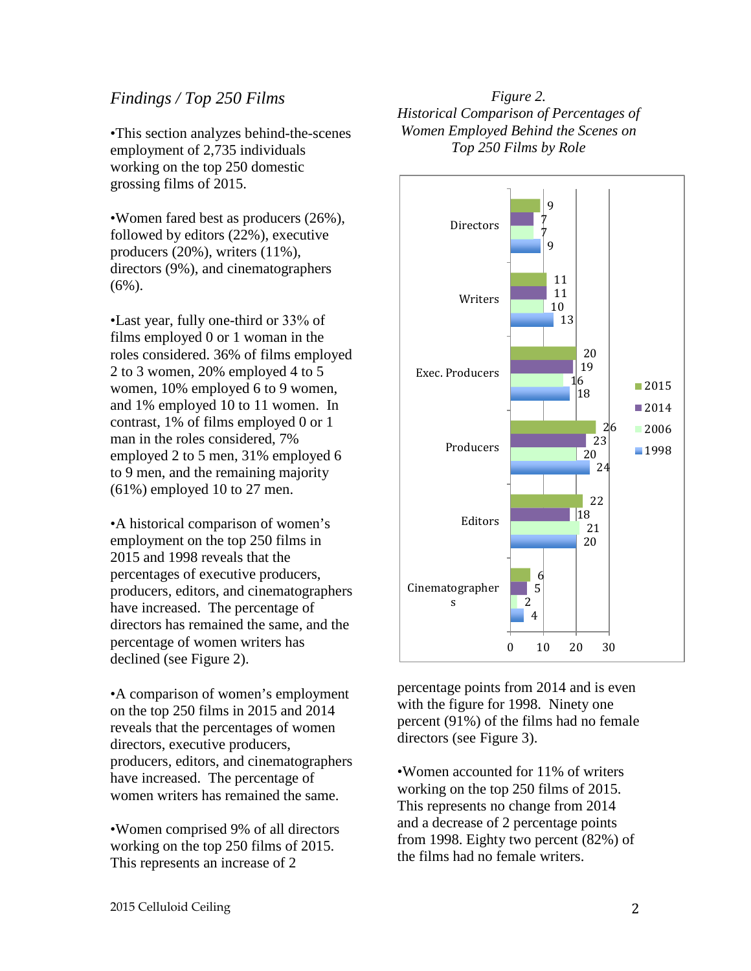### *Findings / Top 250 Films*

•This section analyzes behind-the-scenes employment of 2,735 individuals working on the top 250 domestic grossing films of 2015.

•Women fared best as producers (26%), followed by editors (22%), executive producers (20%), writers (11%), directors (9%), and cinematographers  $(6\%)$ .

•Last year, fully one-third or 33% of films employed 0 or 1 woman in the roles considered. 36% of films employed 2 to 3 women, 20% employed 4 to 5 women, 10% employed 6 to 9 women, and 1% employed 10 to 11 women. In contrast, 1% of films employed 0 or 1 man in the roles considered, 7% employed 2 to 5 men, 31% employed 6 to 9 men, and the remaining majority (61%) employed 10 to 27 men.

•A historical comparison of women's employment on the top 250 films in 2015 and 1998 reveals that the percentages of executive producers, producers, editors, and cinematographers have increased. The percentage of directors has remained the same, and the percentage of women writers has declined (see Figure 2).

•A comparison of women's employment on the top 250 films in 2015 and 2014 reveals that the percentages of women directors, executive producers, producers, editors, and cinematographers have increased. The percentage of women writers has remained the same.

•Women comprised 9% of all directors working on the top 250 films of 2015. This represents an increase of 2

*Figure 2. Historical Comparison of Percentages of Women Employed Behind the Scenes on Top 250 Films by Role*



percentage points from 2014 and is even with the figure for 1998. Ninety one percent (91%) of the films had no female directors (see Figure 3).

•Women accounted for 11% of writers working on the top 250 films of 2015. This represents no change from 2014 and a decrease of 2 percentage points from 1998. Eighty two percent (82%) of the films had no female writers.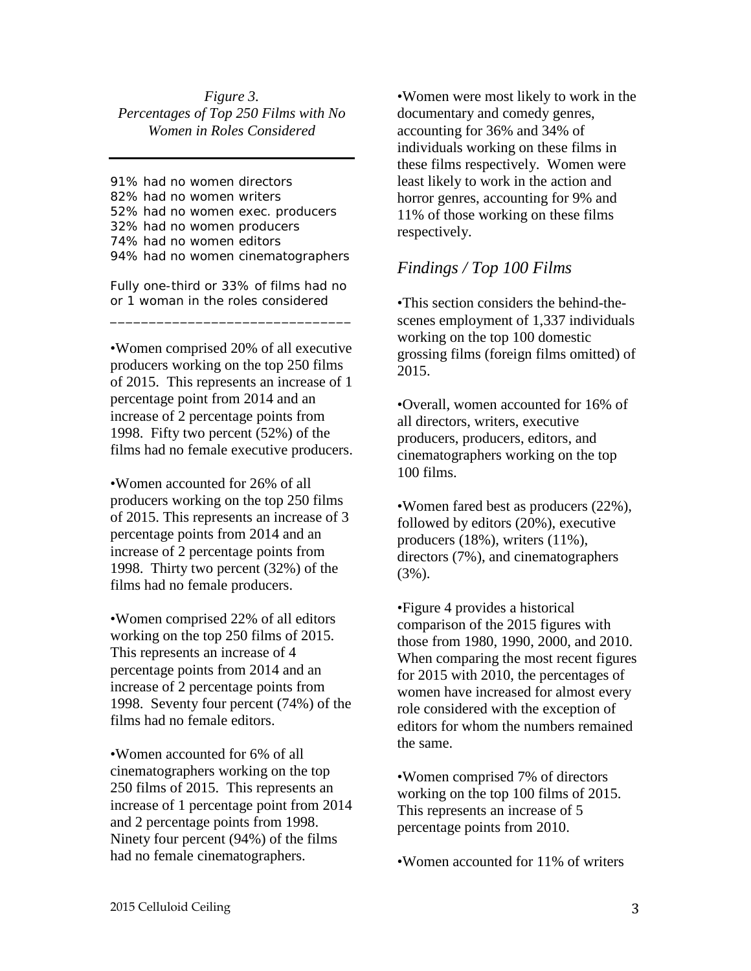#### *Figure 3. Percentages of Top 250 Films with No Women in Roles Considered*

91% had no women directors 82% had no women writers 52% had no women exec. producers 32% had no women producers 74% had no women editors 94% had no women cinematographers

Fully one-third or 33% of films had no or 1 woman in the roles considered

\_\_\_\_\_\_\_\_\_\_\_\_\_\_\_\_\_\_\_\_\_\_\_\_\_\_\_\_\_\_\_

•Women comprised 20% of all executive producers working on the top 250 films of 2015. This represents an increase of 1 percentage point from 2014 and an increase of 2 percentage points from 1998. Fifty two percent (52%) of the films had no female executive producers.

•Women accounted for 26% of all producers working on the top 250 films of 2015. This represents an increase of 3 percentage points from 2014 and an increase of 2 percentage points from 1998. Thirty two percent (32%) of the films had no female producers.

•Women comprised 22% of all editors working on the top 250 films of 2015. This represents an increase of 4 percentage points from 2014 and an increase of 2 percentage points from 1998. Seventy four percent (74%) of the films had no female editors.

•Women accounted for 6% of all cinematographers working on the top 250 films of 2015. This represents an increase of 1 percentage point from 2014 and 2 percentage points from 1998. Ninety four percent (94%) of the films had no female cinematographers.

•Women were most likely to work in the documentary and comedy genres, accounting for 36% and 34% of individuals working on these films in these films respectively. Women were least likely to work in the action and horror genres, accounting for 9% and 11% of those working on these films respectively.

# *Findings / Top 100 Films*

•This section considers the behind-thescenes employment of 1,337 individuals working on the top 100 domestic grossing films (foreign films omitted) of 2015.

•Overall, women accounted for 16% of all directors, writers, executive producers, producers, editors, and cinematographers working on the top 100 films.

•Women fared best as producers (22%), followed by editors (20%), executive producers (18%), writers (11%), directors (7%), and cinematographers (3%).

•Figure 4 provides a historical comparison of the 2015 figures with those from 1980, 1990, 2000, and 2010. When comparing the most recent figures for 2015 with 2010, the percentages of women have increased for almost every role considered with the exception of editors for whom the numbers remained the same.

•Women comprised 7% of directors working on the top 100 films of 2015. This represents an increase of 5 percentage points from 2010.

•Women accounted for 11% of writers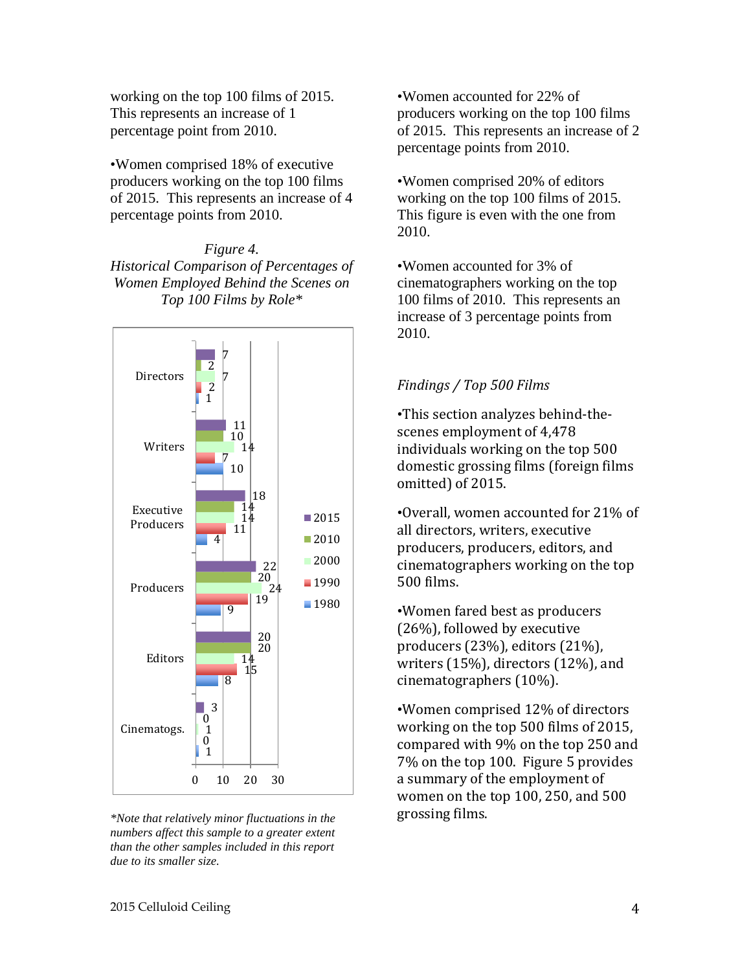working on the top 100 films of 2015. This represents an increase of 1 percentage point from 2010.

•Women comprised 18% of executive producers working on the top 100 films of 2015. This represents an increase of 4 percentage points from 2010.

*Figure 4. Historical Comparison of Percentages of Women Employed Behind the Scenes on Top 100 Films by Role\**



*\*Note that relatively minor fluctuations in the numbers affect this sample to a greater extent than the other samples included in this report due to its smaller size.*

•Women accounted for 22% of producers working on the top 100 films of 2015. This represents an increase of 2 percentage points from 2010.

•Women comprised 20% of editors working on the top 100 films of 2015. This figure is even with the one from 2010.

•Women accounted for 3% of cinematographers working on the top 100 films of 2010. This represents an increase of 3 percentage points from 2010.

## *Findings / Top 500 Films*

•This section analyzes behind-thescenes employment of 4,478 individuals working on the top 500 domestic grossing films (foreign films omitted) of 2015.

•Overall, women accounted for 21% of all directors, writers, executive producers, producers, editors, and cinematographers working on the top 500 films.

•Women fared best as producers (26%), followed by executive producers (23%), editors (21%), writers (15%), directors (12%), and cinematographers (10%).

•Women comprised 12% of directors working on the top 500 films of 2015, compared with 9% on the top 250 and 7% on the top 100. Figure 5 provides a summary of the employment of women on the top 100, 250, and 500 grossing films.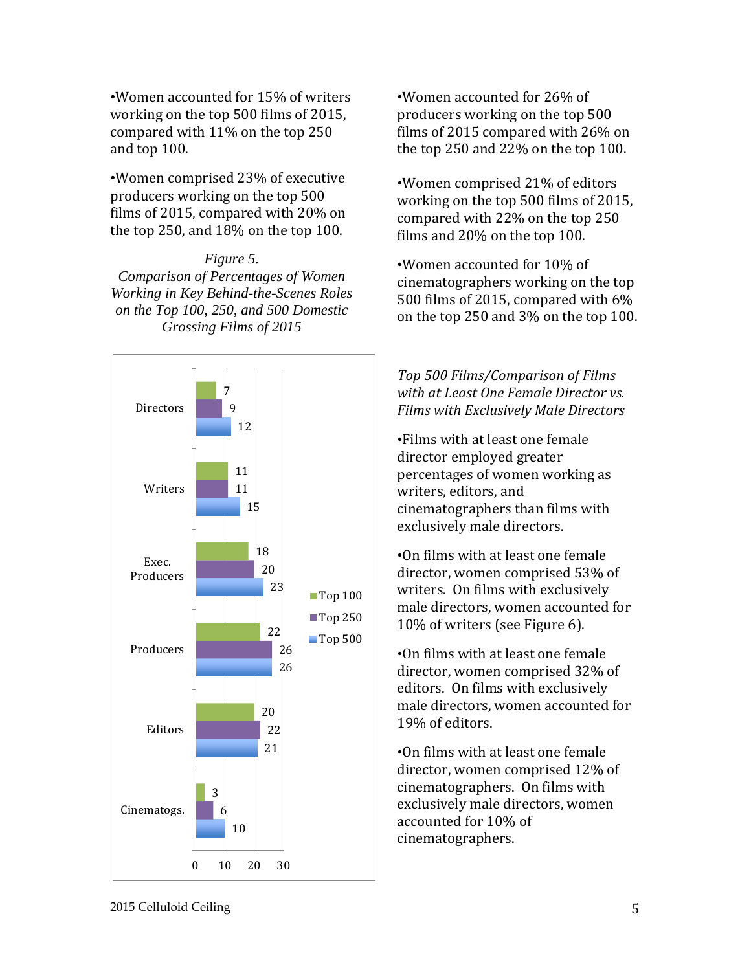•Women accounted for 15% of writers working on the top 500 films of 2015, compared with 11% on the top 250 and top 100.

•Women comprised 23% of executive producers working on the top 500 films of 2015, compared with 20% on the top 250, and 18% on the top 100.

#### *Figure 5. Comparison of Percentages of Women Working in Key Behind-the-Scenes Roles on the Top 100, 250, and 500 Domestic Grossing Films of 2015*



•Women accounted for 26% of producers working on the top 500 films of 2015 compared with 26% on the top 250 and 22% on the top 100.

•Women comprised 21% of editors working on the top 500 films of 2015, compared with 22% on the top 250 films and 20% on the top 100.

•Women accounted for 10% of cinematographers working on the top 500 films of 2015, compared with 6% on the top 250 and 3% on the top 100.

*Top 500 Films/Comparison of Films with at Least One Female Director vs. Films with Exclusively Male Directors*

•Films with at least one female director employed greater percentages of women working as writers, editors, and cinematographers than films with exclusively male directors.

•On films with at least one female director, women comprised 53% of writers. On films with exclusively male directors, women accounted for 10% of writers (see Figure 6).

•On films with at least one female director, women comprised 32% of editors. On films with exclusively male directors, women accounted for 19% of editors.

•On films with at least one female director, women comprised 12% of cinematographers. On films with exclusively male directors, women accounted for 10% of cinematographers.